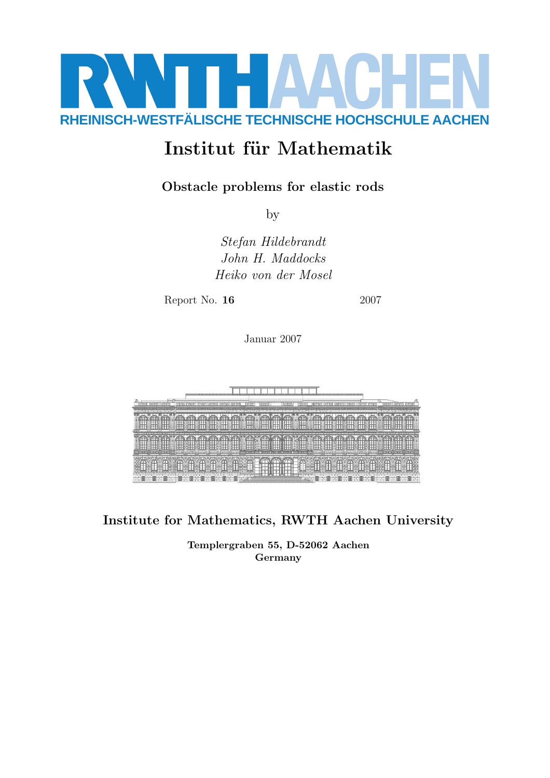

# Institut für Mathematik

# Obstacle problems for elastic rods

by

Stefan Hildebrandt John H. Maddocks Heiko von der Mosel

Report No. **16** 2007

Januar 2007



Institute for Mathematics, RWTH Aachen University

Templergraben 55, D-52062 Aachen Germany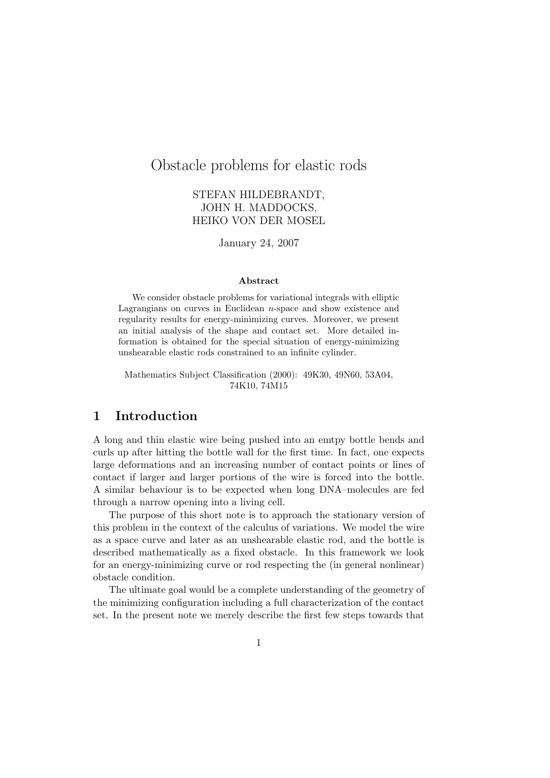# Obstacle problems for elastic rods

#### STEFAN HILDEBRANDT, JOHN H. MADDOCKS, HEIKO VON DER MOSEL

January 24, 2007

#### Abstract

We consider obstacle problems for variational integrals with elliptic Lagrangians on curves in Euclidean n-space and show existence and regularity results for energy-minimizing curves. Moreover, we present an initial analysis of the shape and contact set. More detailed information is obtained for the special situation of energy-minimizing unshearable elastic rods constrained to an infinite cylinder.

Mathematics Subject Classification (2000): 49K30, 49N60, 53A04, 74K10, 74M15

## 1 Introduction

A long and thin elastic wire being pushed into an emtpy bottle bends and curls up after hitting the bottle wall for the first time. In fact, one expects large deformations and an increasing number of contact points or lines of contact if larger and larger portions of the wire is forced into the bottle. A similar behaviour is to be expected when long DNA–molecules are fed through a narrow opening into a living cell.

The purpose of this short note is to approach the stationary version of this problem in the context of the calculus of variations. We model the wire as a space curve and later as an unshearable elastic rod, and the bottle is described mathematically as a fixed obstacle. In this framework we look for an energy-minimizing curve or rod respecting the (in general nonlinear) obstacle condition.

The ultimate goal would be a complete understanding of the geometry of the minimizing configuration including a full characterization of the contact set. In the present note we merely describe the first few steps towards that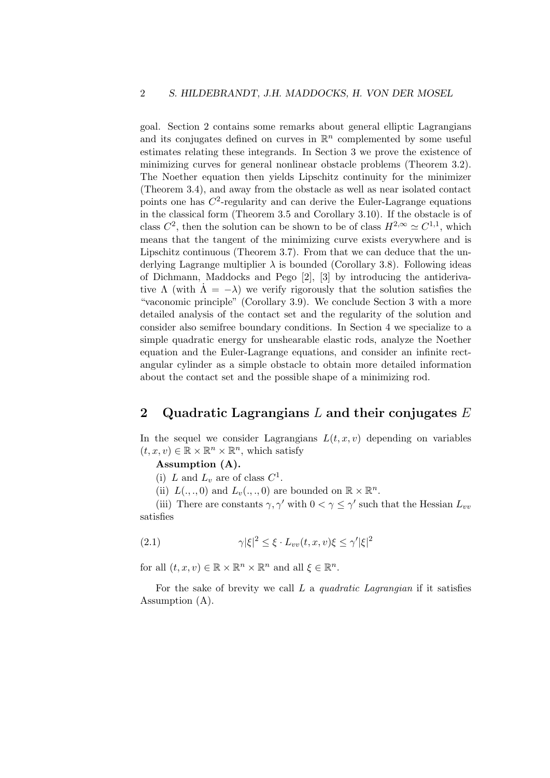goal. Section 2 contains some remarks about general elliptic Lagrangians and its conjugates defined on curves in  $\mathbb{R}^n$  complemented by some useful estimates relating these integrands. In Section 3 we prove the existence of minimizing curves for general nonlinear obstacle problems (Theorem 3.2). The Noether equation then yields Lipschitz continuity for the minimizer (Theorem 3.4), and away from the obstacle as well as near isolated contact points one has  $C<sup>2</sup>$ -regularity and can derive the Euler-Lagrange equations in the classical form (Theorem 3.5 and Corollary 3.10). If the obstacle is of class  $C^2$ , then the solution can be shown to be of class  $H^{2,\infty} \simeq C^{1,1}$ , which means that the tangent of the minimizing curve exists everywhere and is Lipschitz continuous (Theorem 3.7). From that we can deduce that the underlying Lagrange multiplier  $\lambda$  is bounded (Corollary 3.8). Following ideas of Dichmann, Maddocks and Pego [2], [3] by introducing the antiderivative  $\Lambda$  (with  $\Lambda = -\lambda$ ) we verify rigorously that the solution satisfies the "vaconomic principle" (Corollary 3.9). We conclude Section 3 with a more detailed analysis of the contact set and the regularity of the solution and consider also semifree boundary conditions. In Section 4 we specialize to a simple quadratic energy for unshearable elastic rods, analyze the Noether equation and the Euler-Lagrange equations, and consider an infinite rectangular cylinder as a simple obstacle to obtain more detailed information about the contact set and the possible shape of a minimizing rod.

#### 2 Quadratic Lagrangians L and their conjugates  $E$

In the sequel we consider Lagrangians  $L(t, x, v)$  depending on variables  $(t, x, v) \in \mathbb{R} \times \mathbb{R}^n \times \mathbb{R}^n$ , which satisfy

#### Assumption (A).

(i) L and  $L_v$  are of class  $C^1$ .

(ii)  $L(.,.,0)$  and  $L_v(.,.,0)$  are bounded on  $\mathbb{R} \times \mathbb{R}^n$ .

(iii) There are constants  $\gamma, \gamma'$  with  $0 < \gamma \leq \gamma'$  such that the Hessian  $L_{vv}$ satisfies

$$
(2.1) \qquad \qquad \gamma |\xi|^2 \le \xi \cdot L_{vv}(t, x, v)\xi \le \gamma' |\xi|^2
$$

for all  $(t, x, v) \in \mathbb{R} \times \mathbb{R}^n \times \mathbb{R}^n$  and all  $\xi \in \mathbb{R}^n$ .

For the sake of brevity we call  $L$  a *quadratic Lagrangian* if it satisfies Assumption (A).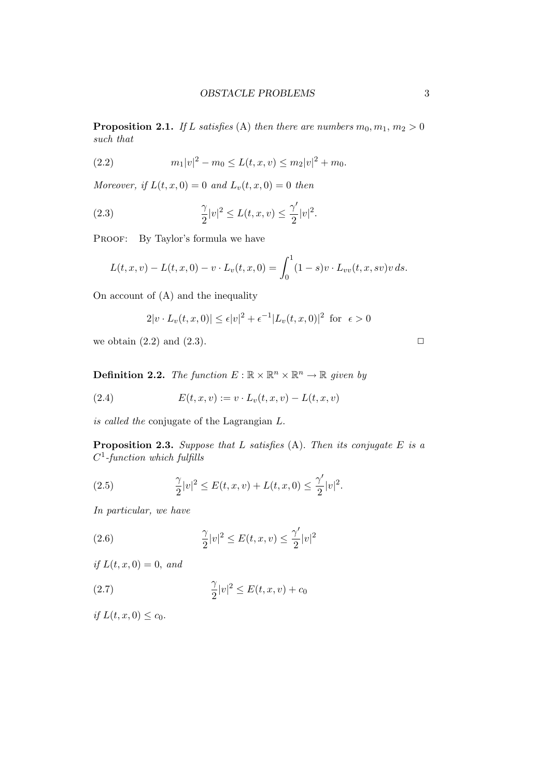**Proposition 2.1.** If L satisfies (A) then there are numbers  $m_0, m_1, m_2 > 0$ such that

(2.2) 
$$
m_1|v|^2 - m_0 \le L(t, x, v) \le m_2|v|^2 + m_0.
$$

Moreover, if  $L(t, x, 0) = 0$  and  $L_v(t, x, 0) = 0$  then

(2.3) 
$$
\frac{\gamma}{2}|v|^2 \le L(t, x, v) \le \frac{\gamma'}{2}|v|^2.
$$

PROOF: By Taylor's formula we have

$$
L(t, x, v) - L(t, x, 0) - v \cdot L_v(t, x, 0) = \int_0^1 (1 - s) v \cdot L_{vv}(t, x, sv) v ds.
$$

On account of (A) and the inequality

$$
2|v \cdot L_v(t, x, 0)| \le \epsilon |v|^2 + \epsilon^{-1} |L_v(t, x, 0)|^2 \text{ for } \epsilon > 0
$$

we obtain  $(2.2)$  and  $(2.3)$ .

**Definition 2.2.** The function  $E : \mathbb{R} \times \mathbb{R}^n \times \mathbb{R}^n \to \mathbb{R}$  given by

(2.4) 
$$
E(t, x, v) := v \cdot L_v(t, x, v) - L(t, x, v)
$$

is called the conjugate of the Lagrangian L.

**Proposition 2.3.** Suppose that L satisfies  $(A)$ . Then its conjugate E is a  $C^1$ -function which fulfills

(2.5) 
$$
\frac{\gamma}{2}|v|^2 \le E(t, x, v) + L(t, x, 0) \le \frac{\gamma'}{2}|v|^2.
$$

In particular, we have

(2.6) 
$$
\frac{\gamma}{2}|v|^2 \le E(t, x, v) \le \frac{\gamma'}{2}|v|^2
$$

if  $L(t, x, 0) = 0$ , and

$$
(2.7) \qquad \qquad \frac{\gamma}{2}|v|^2 \le E(t, x, v) + c_0
$$

if  $L(t, x, 0) \le c_0$ .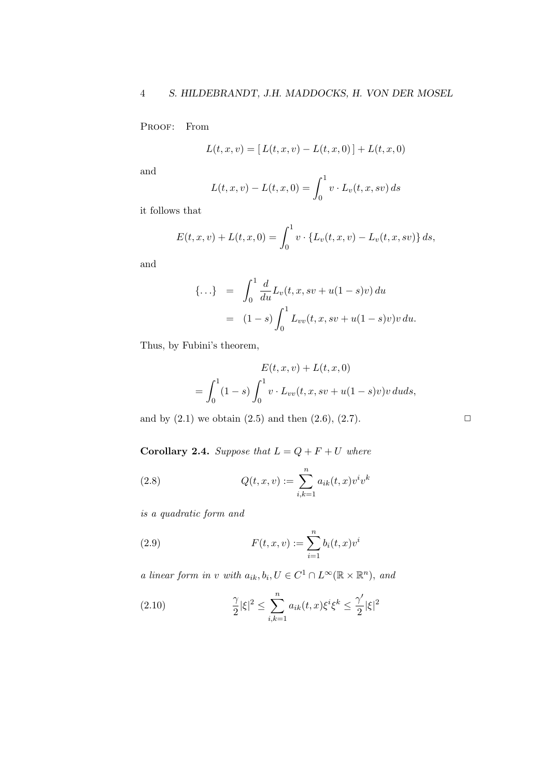PROOF: From

$$
L(t, x, v) = [L(t, x, v) - L(t, x, 0)] + L(t, x, 0)
$$

and

$$
L(t, x, v) - L(t, x, 0) = \int_0^1 v \cdot L_v(t, x, sv) ds
$$

it follows that

$$
E(t, x, v) + L(t, x, 0) = \int_0^1 v \cdot \{L_v(t, x, v) - L_v(t, x, sv)\} ds,
$$

and

$$
\{\ldots\} = \int_0^1 \frac{d}{du} L_v(t, x, sv + u(1 - s)v) du
$$
  
=  $(1 - s) \int_0^1 L_{vv}(t, x, sv + u(1 - s)v)v du.$ 

Thus, by Fubini's theorem,

$$
E(t, x, v) + L(t, x, 0)
$$
  
=  $\int_0^1 (1 - s) \int_0^1 v \cdot L_{vv}(t, x, sv + u(1 - s)v)v \, du ds$ ,

and by  $(2.1)$  we obtain  $(2.5)$  and then  $(2.6)$ ,  $(2.7)$ .

Corollary 2.4. Suppose that  $L = Q + F + U$  where

(2.8) 
$$
Q(t, x, v) := \sum_{i,k=1}^{n} a_{ik}(t, x)v^{i}v^{k}
$$

is a quadratic form and

(2.9) 
$$
F(t, x, v) := \sum_{i=1}^{n} b_i(t, x) v^i
$$

a linear form in v with  $a_{ik}, b_i, U \in C^1 \cap L^{\infty}(\mathbb{R} \times \mathbb{R}^n)$ , and

(2.10) 
$$
\frac{\gamma}{2} |\xi|^2 \le \sum_{i,k=1}^n a_{ik}(t,x) \xi^i \xi^k \le \frac{\gamma'}{2} |\xi|^2
$$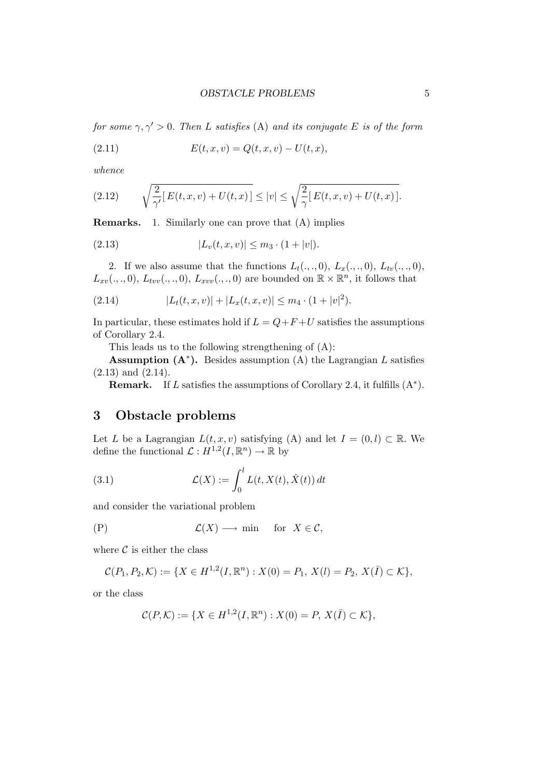for some  $\gamma, \gamma' > 0$ . Then L satisfies (A) and its conjugate E is of the form

(2.11) 
$$
E(t, x, v) = Q(t, x, v) - U(t, x),
$$

whence

(2.12) 
$$
\sqrt{\frac{2}{\gamma'}[E(t, x, v) + U(t, x)]} \le |v| \le \sqrt{\frac{2}{\gamma}[E(t, x, v) + U(t, x)].
$$

Remarks. 1. Similarly one can prove that (A) implies

(2.13) 
$$
|L_v(t, x, v)| \leq m_3 \cdot (1 + |v|).
$$

2. If we also assume that the functions  $L_t(., ., 0), L_x(., ., 0), L_{tv}(., ., 0),$  $L_{xv}(.,.,0), L_{tvv}(.,.,0), L_{xvv}(.,.,0)$  are bounded on  $\mathbb{R} \times \mathbb{R}^n$ , it follows that

(2.14) 
$$
|L_t(t,x,v)| + |L_x(t,x,v)| \leq m_4 \cdot (1+|v|^2).
$$

In particular, these estimates hold if  $L = Q + F + U$  satisfies the assumptions of Corollary 2.4.

This leads us to the following strengthening of (A):

Assumption  $(A^*)$ . Besides assumption  $(A)$  the Lagrangian L satisfies (2.13) and (2.14).

**Remark.** If L satisfies the assumptions of Corollary 2.4, it fulfills  $(A^*)$ .

## 3 Obstacle problems

Let L be a Lagrangian  $L(t, x, v)$  satisfying (A) and let  $I = (0, l) \subset \mathbb{R}$ . We define the functional  $\mathcal{L}: H^{1,2}(I,\mathbb{R}^n) \to \mathbb{R}$  by

(3.1) 
$$
\mathcal{L}(X) := \int_0^l L(t, X(t), \dot{X}(t)) dt
$$

and consider the variational problem

$$
(P) \t\t \mathcal{L}(X) \longrightarrow \min \t for \t X \in \mathcal{C},
$$

where  $\mathcal C$  is either the class

$$
\mathcal{C}(P_1, P_2, \mathcal{K}) := \{ X \in H^{1,2}(I, \mathbb{R}^n) : X(0) = P_1, X(l) = P_2, X(\overline{I}) \subset \mathcal{K} \},
$$

or the class

$$
\mathcal{C}(P,\mathcal{K}) := \{ X \in H^{1,2}(I,\mathbb{R}^n) : X(0) = P, X(\overline{I}) \subset \mathcal{K} \},
$$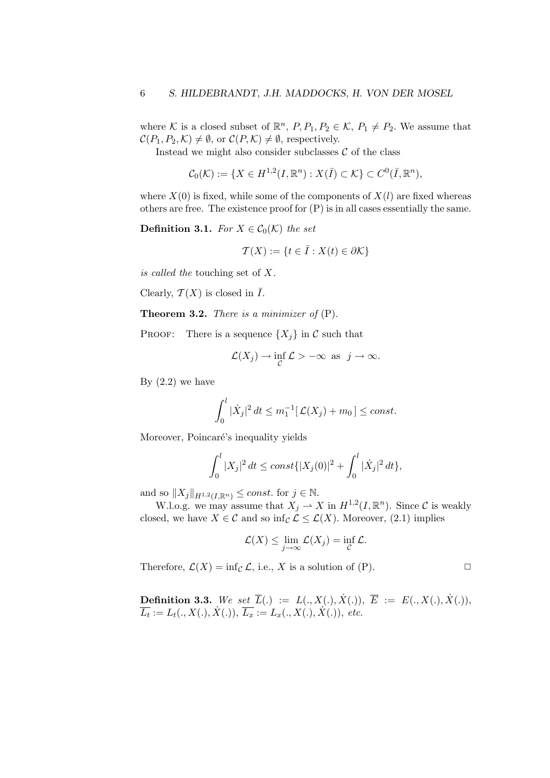where K is a closed subset of  $\mathbb{R}^n$ ,  $P, P_1, P_2 \in \mathcal{K}$ ,  $P_1 \neq P_2$ . We assume that  $\mathcal{C}(P_1, P_2, \mathcal{K}) \neq \emptyset$ , or  $\mathcal{C}(P, \mathcal{K}) \neq \emptyset$ , respectively.

Instead we might also consider subclasses  $\mathcal C$  of the class

 $C_0(\mathcal{K}) := \{ X \in H^{1,2}(I,\mathbb{R}^n) : X(\overline{I}) \subset \mathcal{K} \} \subset C^0(\overline{I},\mathbb{R}^n),$ 

where  $X(0)$  is fixed, while some of the components of  $X(l)$  are fixed whereas others are free. The existence proof for (P) is in all cases essentially the same.

**Definition 3.1.** For  $X \in \mathcal{C}_0(\mathcal{K})$  the set

$$
\mathcal{T}(X) := \{ t \in \overline{I} : X(t) \in \partial \mathcal{K} \}
$$

is called the touching set of X.

Clearly,  $\mathcal{T}(X)$  is closed in  $\overline{I}$ .

**Theorem 3.2.** There is a minimizer of  $(P)$ .

PROOF: There is a sequence  $\{X_i\}$  in C such that

$$
\mathcal{L}(X_j) \to \inf_{\mathcal{C}} \mathcal{L} > -\infty \text{ as } j \to \infty.
$$

By  $(2.2)$  we have

$$
\int_0^l |\dot{X}_j|^2 dt \le m_1^{-1} [\mathcal{L}(X_j) + m_0] \le const.
$$

Moreover, Poincaré's inequality yields

$$
\int_0^l |X_j|^2 dt \le const \{ |X_j(0)|^2 + \int_0^l |\dot{X}_j|^2 dt \},
$$

and so  $||X_j||_{H^{1,2}(I,\mathbb{R}^n)} \leq const.$  for  $j \in \mathbb{N}$ .

W.l.o.g. we may assume that  $X_j \to X$  in  $H^{1,2}(I,\mathbb{R}^n)$ . Since C is weakly closed, we have  $X \in \mathcal{C}$  and so  $\inf_{\mathcal{C}} \mathcal{L} \leq \mathcal{L}(X)$ . Moreover, (2.1) implies

$$
\mathcal{L}(X) \leq \lim_{j \to \infty} \mathcal{L}(X_j) = \inf_{\mathcal{C}} \mathcal{L}.
$$

Therefore,  $\mathcal{L}(X) = \inf_{\mathcal{C}} \mathcal{L}$ , i.e., X is a solution of (P).

**Definition 3.3.** We set  $\overline{L}(.) := L(., X(.), X(.)), \overline{E} := E(., X(.), X(.)),$  $\overline{L_t} := L_t(., X(.), \dot{X}(.)), \ \overline{L_x} := L_x(., X(.), \dot{X}(.)), \ etc.$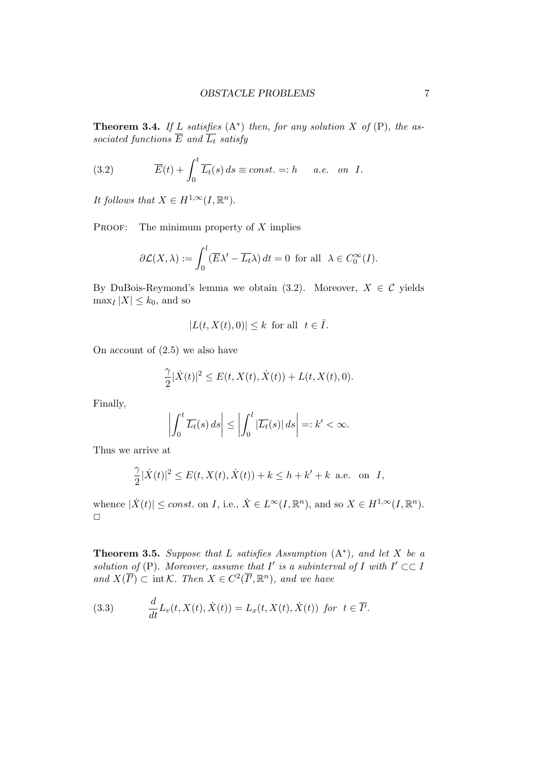**Theorem 3.4.** If L satisfies  $(A^*)$  then, for any solution X of  $(P)$ , the associated functions  $\overline{E}$  and  $\overline{L_t}$  satisfy

(3.2) 
$$
\overline{E}(t) + \int_0^t \overline{L_t}(s) ds \equiv const. =: h \quad a.e. \quad on \quad I.
$$

It follows that  $X \in H^{1,\infty}(I,\mathbb{R}^n)$ .

PROOF: The minimum property of  $X$  implies

$$
\partial \mathcal{L}(X,\lambda) := \int_0^l (\overline{E}\lambda' - \overline{L_t}\lambda) dt = 0 \text{ for all } \lambda \in C_0^{\infty}(I).
$$

By DuBois-Reymond's lemma we obtain (3.2). Moreover,  $X \in \mathcal{C}$  yields  $\max_I |X| \leq k_0$ , and so

$$
|L(t, X(t), 0)| \le k \text{ for all } t \in \overline{I}.
$$

On account of (2.5) we also have

$$
\frac{\gamma}{2}|\dot{X}(t)|^2\leq E(t,X(t),\dot{X}(t))+L(t,X(t),0).
$$

Finally,

$$
\left| \int_0^t \overline{L_t}(s) \, ds \right| \le \left| \int_0^l |\overline{L_t}(s)| \, ds \right| =: k' < \infty.
$$

Thus we arrive at

$$
\frac{\gamma}{2}|\dot{X}(t)|^2 \le E(t, X(t), \dot{X}(t)) + k \le h + k' + k \text{ a.e. on } I,
$$

whence  $|\dot{X}(t)| \leq const.$  on I, i.e.,  $\dot{X} \in L^{\infty}(I, \mathbb{R}^n)$ , and so  $X \in H^{1,\infty}(I, \mathbb{R}^n)$ .  $\Box$ 

**Theorem 3.5.** Suppose that L satisfies Assumption  $(A^*)$ , and let X be a solution of (P). Moreover, assume that  $I'$  is a subinterval of  $I$  with  $I' \subset \subset I$ and  $X(\overline{I'}) \subset \text{int }\mathcal{K}$ . Then  $X \in C^2(\overline{I'}, \mathbb{R}^n)$ , and we have

(3.3) 
$$
\frac{d}{dt}L_v(t,X(t),\dot{X}(t)) = L_x(t,X(t),\dot{X}(t)) \text{ for } t \in \overline{I'}.
$$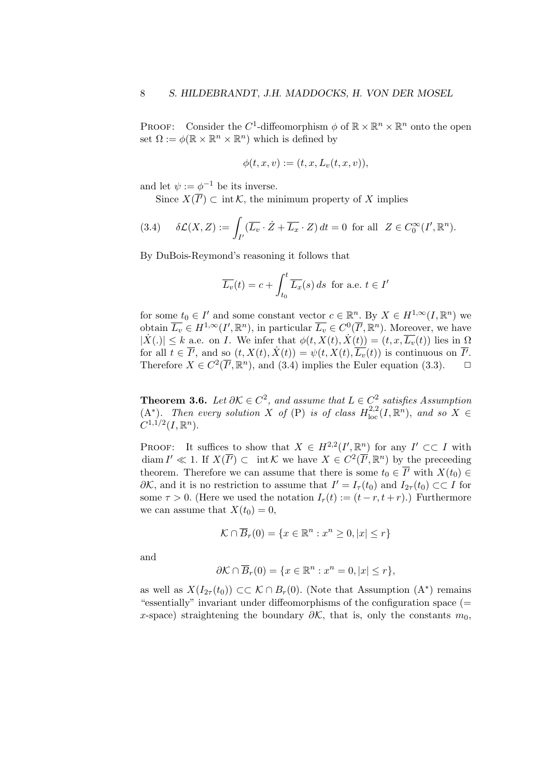PROOF: Consider the C<sup>1</sup>-diffeomorphism  $\phi$  of  $\mathbb{R} \times \mathbb{R}^n \times \mathbb{R}^n$  onto the open set  $\Omega := \phi(\mathbb{R} \times \mathbb{R}^n \times \mathbb{R}^n)$  which is defined by

$$
\phi(t, x, v) := (t, x, L_v(t, x, v)),
$$

and let  $\psi := \phi^{-1}$  be its inverse.

Since  $X(\overline{I'}) \subset \text{int } \mathcal{K}$ , the minimum property of X implies

(3.4) 
$$
\delta \mathcal{L}(X,Z) := \int_{I'} (\overline{L_v} \cdot \dot{Z} + \overline{L_x} \cdot Z) dt = 0 \text{ for all } Z \in C_0^{\infty}(I', \mathbb{R}^n).
$$

By DuBois-Reymond's reasoning it follows that

$$
\overline{L_v}(t) = c + \int_{t_0}^t \overline{L_x}(s) \, ds \text{ for a.e. } t \in I'
$$

for some  $t_0 \in I'$  and some constant vector  $c \in \mathbb{R}^n$ . By  $X \in H^{1,\infty}(I,\mathbb{R}^n)$  we obtain  $\overline{L_v} \in H^{1,\infty}(I',\mathbb{R}^n)$ , in particular  $\overline{L_v} \in C^0(\overline{I'},\mathbb{R}^n)$ . Moreover, we have  $|\dot{X}(\cdot)| \leq k$  a.e. on *I*. We infer that  $\phi(t, X(t), \dot{X}(t)) = (t, x, \overline{L_v}(t))$  lies in  $\Omega$ for all  $t \in \overline{I'}$ , and so  $(t, X(t), \dot{X}(t)) = \psi(t, X(t), \overline{L_v}(t))$  is continuous on  $\overline{I'}$ . Therefore  $X \in C^2(\overline{I'}, \mathbb{R}^n)$ , and (3.4) implies the Euler equation (3.3).  $\Box$ 

**Theorem 3.6.** Let  $\partial \mathcal{K} \in C^2$ , and assume that  $L \in C^2$  satisfies Assumption  $(A^*)$ . Then every solution X of (P) is of class  $H^{2,2}_{loc}(I,\mathbb{R}^n)$ , and so X  $\in$  $C^{1,1/2}(I,\mathbb{R}^n).$ 

PROOF: It suffices to show that  $X \in H^{2,2}(I', \mathbb{R}^n)$  for any  $I' \subset\subset I$  with diam  $I' \ll 1$ . If  $X(\overline{I'}) \subset \text{int } \mathcal{K}$  we have  $X \in C^2(\overline{I'}, \mathbb{R}^n)$  by the preceeding theorem. Therefore we can assume that there is some  $t_0 \in \overline{I'}$  with  $X(t_0) \in$  $\partial K$ , and it is no restriction to assume that  $I' = I_{\tau}(t_0)$  and  $I_{2\tau}(t_0) \subset I$  for some  $\tau > 0$ . (Here we used the notation  $I_r(t) := (t - r, t + r)$ .) Furthermore we can assume that  $X(t_0) = 0$ ,

$$
\mathcal{K} \cap \overline{B}_r(0) = \{ x \in \mathbb{R}^n : x^n \ge 0, |x| \le r \}
$$

and

$$
\partial \mathcal{K} \cap \overline{B}_r(0) = \{ x \in \mathbb{R}^n : x^n = 0, |x| \le r \},\
$$

as well as  $X(I_{2\tau}(t_0)) \subset \subset \mathcal{K} \cap B_r(0)$ . (Note that Assumption  $(A^*)$  remains "essentially" invariant under diffeomorphisms of the configuration space (= x-space) straightening the boundary  $\partial K$ , that is, only the constants  $m_0$ ,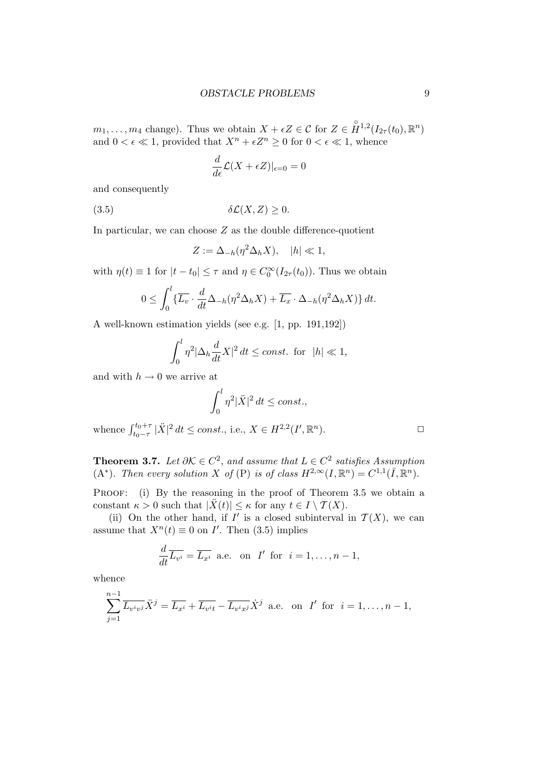$m_1, \ldots, m_4$  change). Thus we obtain  $X + \epsilon Z \in \mathcal{C}$  for  $Z \in \mathring{H}^{1,2}(I_{2\tau}(t_0), \mathbb{R}^n)$ and  $0 < \epsilon \ll 1$ , provided that  $X^n + \epsilon Z^n \geq 0$  for  $0 < \epsilon \ll 1$ , whence

$$
\frac{d}{d\epsilon}\mathcal{L}(X+\epsilon Z)|_{\epsilon=0}=0
$$

and consequently

$$
(3.5) \t\t \delta\mathcal{L}(X,Z) \ge 0.
$$

In particular, we can choose  $Z$  as the double difference-quotient

$$
Z := \Delta_{-h}(\eta^2 \Delta_h X), \quad |h| \ll 1,
$$

with  $\eta(t) \equiv 1$  for  $|t - t_0| \le \tau$  and  $\eta \in C_0^{\infty}(I_{2\tau}(t_0))$ . Thus we obtain

$$
0 \leq \int_0^l \{ \overline{L_v} \cdot \frac{d}{dt} \Delta_{-h}(\eta^2 \Delta_h X) + \overline{L_x} \cdot \Delta_{-h}(\eta^2 \Delta_h X) \} dt.
$$

A well-known estimation yields (see e.g. [1, pp. 191,192])

$$
\int_0^l \eta^2 |\Delta_h \frac{d}{dt} X|^2 dt \le const. \text{ for } |h| \ll 1,
$$

and with  $h \to 0$  we arrive at

$$
\int_0^l \eta^2 |\ddot{X}|^2 dt \le const.,
$$
  
whence 
$$
\int_{t_0-\tau}^{t_0+\tau} |\ddot{X}|^2 dt \le const., \text{ i.e., } X \in H^{2,2}(I', \mathbb{R}^n).
$$

**Theorem 3.7.** Let  $\partial \mathcal{K} \in C^2$ , and assume that  $L \in C^2$  satisfies Assumption (A<sup>\*</sup>). Then every solution X of (P) is of class  $H^{2,\infty}(I,\mathbb{R}^n) = C^{1,1}(\overline{I},\mathbb{R}^n)$ .

PROOF: (i) By the reasoning in the proof of Theorem 3.5 we obtain a constant  $\kappa > 0$  such that  $|\ddot{X}(t)| \leq \kappa$  for any  $t \in I \setminus \mathcal{T}(X)$ .

(ii) On the other hand, if  $I'$  is a closed subinterval in  $\mathcal{T}(X)$ , we can assume that  $X^n(t) \equiv 0$  on I'. Then (3.5) implies

$$
\frac{d}{dt}\overline{L_{v^i}} = \overline{L_{x^i}} \text{ a.e. on } I' \text{ for } i = 1, \dots, n-1,
$$

whence

$$
\sum_{j=1}^{n-1} \overline{L_{v^iv^j}} \ddot{X}^j = \overline{L_{x^i}} + \overline{L_{v^it}} - \overline{L_{v^ix^j}} \dot{X}^j
$$
 a.e. on  $I'$  for  $i = 1, ..., n-1$ ,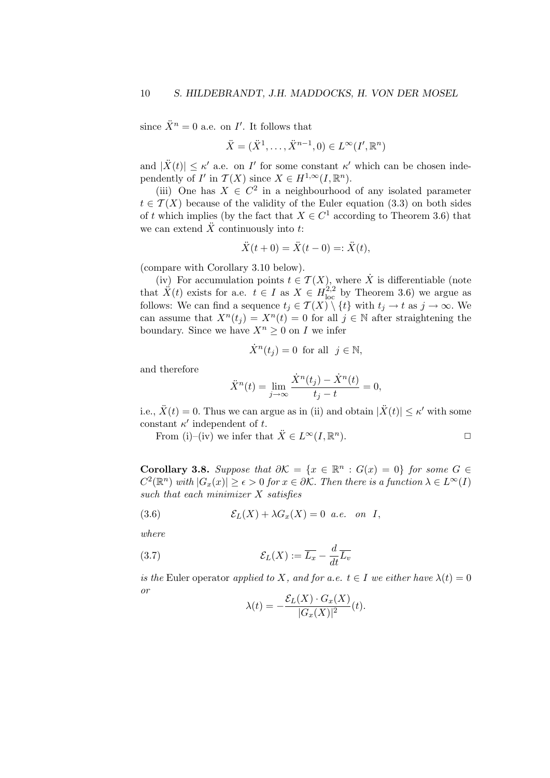since  $\ddot{X}^n = 0$  a.e. on  $I'$ . It follows that

$$
\ddot{X} = (\ddot{X}^1, \dots, \ddot{X}^{n-1}, 0) \in L^\infty(I', \mathbb{R}^n)
$$

and  $|\ddot{X}(t)| \leq \kappa'$  a.e. on I' for some constant  $\kappa'$  which can be chosen independently of  $I'$  in  $\mathcal{T}(X)$  since  $X \in H^{1,\infty}(I,\mathbb{R}^n)$ .

(iii) One has  $X \in \mathbb{C}^2$  in a neighbourhood of any isolated parameter  $t \in \mathcal{T}(X)$  because of the validity of the Euler equation (3.3) on both sides of t which implies (by the fact that  $X \in C^1$  according to Theorem 3.6) that we can extend  $\ddot{X}$  continuously into t:

$$
\ddot{X}(t+0) = \ddot{X}(t-0) =: \ddot{X}(t),
$$

(compare with Corollary 3.10 below).

(iv) For accumulation points  $t \in \mathcal{T}(X)$ , where  $\dot{X}$  is differentiable (note that  $\ddot{X}(t)$  exists for a.e.  $t \in I$  as  $X \in H^{2,2}_{loc}$  by Theorem 3.6) we argue as follows: We can find a sequence  $t_j \in \mathcal{T}(X) \setminus \{t\}$  with  $t_j \to t$  as  $j \to \infty$ . We can assume that  $X^n(t_j) = X^n(t) = 0$  for all  $j \in \mathbb{N}$  after straightening the boundary. Since we have  $X^n \geq 0$  on I we infer

$$
\dot{X}^n(t_j) = 0 \text{ for all } j \in \mathbb{N},
$$

and therefore

$$
\ddot{X}^n(t) = \lim_{j \to \infty} \frac{\dot{X}^n(t_j) - \dot{X}^n(t)}{t_j - t} = 0,
$$

i.e.,  $\ddot{X}(t) = 0$ . Thus we can argue as in (ii) and obtain  $|\ddot{X}(t)| \le \kappa'$  with some constant  $\kappa'$  independent of t.

From (i)–(iv) we infer that  $\ddot{X} \in L^{\infty}(I, \mathbb{R}^n)$ ).  $\qquad \qquad \Box$ 

Corollary 3.8. Suppose that  $\partial \mathcal{K} = \{x \in \mathbb{R}^n : G(x) = 0\}$  for some G ∈  $C^2(\mathbb{R}^n)$  with  $|G_x(x)| \geq \epsilon > 0$  for  $x \in \partial \mathcal{K}$ . Then there is a function  $\lambda \in L^{\infty}(I)$ such that each minimizer  $X$  satisfies

(3.6) 
$$
\mathcal{E}_L(X) + \lambda G_x(X) = 0 \quad a.e. \quad on \quad I,
$$

where

(3.7) 
$$
\mathcal{E}_L(X) := \overline{L_x} - \frac{d}{dt} \overline{L_v}
$$

is the Euler operator applied to X, and for a.e.  $t \in I$  we either have  $\lambda(t) = 0$ or  $C(\overline{x}) = \alpha$  ( $\overline{x}$ )

$$
\lambda(t) = -\frac{\mathcal{E}_L(X) \cdot G_x(X)}{|G_x(X)|^2}(t).
$$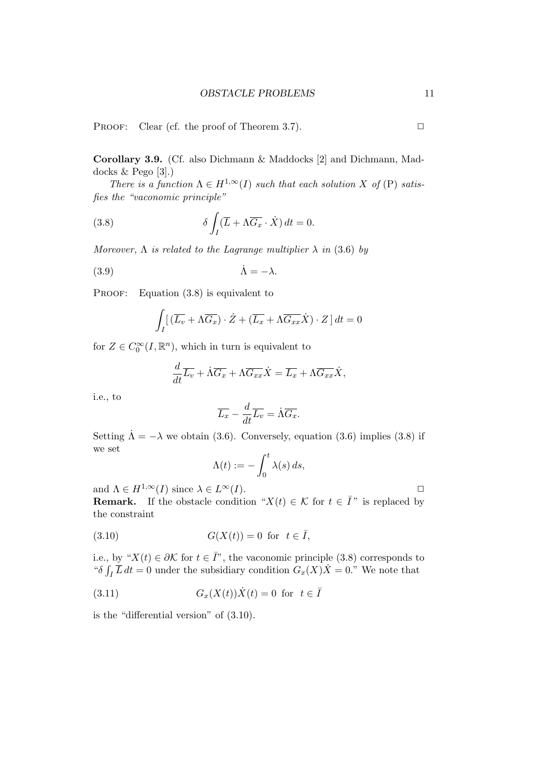PROOF: Clear (cf. the proof of Theorem 3.7).  $\Box$ 

Corollary 3.9. (Cf. also Dichmann & Maddocks [2] and Dichmann, Maddocks & Pego [3].)

There is a function  $\Lambda \in H^{1,\infty}(I)$  such that each solution X of (P) satisfies the "vaconomic principle"

(3.8) 
$$
\delta \int_I (\overline{L} + \Lambda \overline{G_x} \cdot \dot{X}) dt = 0.
$$

Moreover,  $\Lambda$  is related to the Lagrange multiplier  $\lambda$  in (3.6) by

$$
\dot{\Lambda} = -\lambda.
$$

PROOF: Equation (3.8) is equivalent to

$$
\int_{I} \left[ \left( \overline{L_v} + \Lambda \overline{G_x} \right) \cdot \dot{Z} + \left( \overline{L_x} + \Lambda \overline{G_{xx}} \dot{X} \right) \cdot Z \right] dt = 0
$$

for  $Z \in C_0^{\infty}(I, \mathbb{R}^n)$ , which in turn is equivalent to

$$
\frac{d}{dt}\overline{L_v} + \dot{\Lambda}\overline{G_x} + \Lambda\overline{G_{xx}}\dot{X} = \overline{L_x} + \Lambda\overline{G_{xx}}\dot{X},
$$

i.e., to

$$
\overline{L_x} - \frac{d}{dt}\overline{L_v} = \dot{\Lambda}\overline{G_x}.
$$

Setting  $\dot{\Lambda} = -\lambda$  we obtain (3.6). Conversely, equation (3.6) implies (3.8) if we set

$$
\Lambda(t) := -\int_0^t \lambda(s) \, ds,
$$

and  $\Lambda \in H^{1,\infty}(I)$  since  $\lambda \in L^{\infty}(I)$ .  $\Box$ 

**Remark.** If the obstacle condition " $X(t) \in \mathcal{K}$  for  $t \in \overline{I}$ " is replaced by the constraint

$$
(3.10) \tG(X(t)) = 0 \tfor \t t \in \bar{I},
$$

i.e., by " $X(t) \in \partial K$  for  $t \in \overline{I}$ ", the vaconomic principle (3.8) corresponds to " $\delta \int_I \overline{L} dt = 0$  under the subsidiary condition  $G_x(X)X = 0$ ." We note that

(3.11) 
$$
G_x(X(t))\dot{X}(t) = 0 \text{ for } t \in \overline{I}
$$

is the "differential version" of (3.10).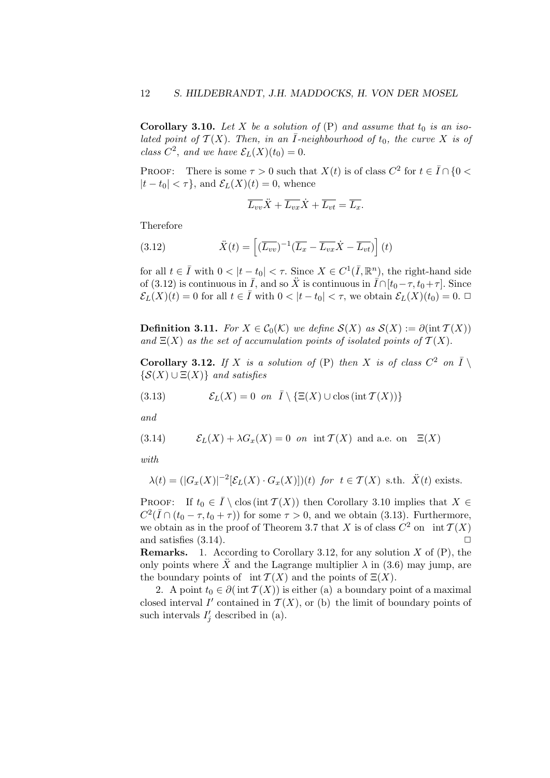Corollary 3.10. Let X be a solution of  $(P)$  and assume that  $t_0$  is an isolated point of  $\mathcal{T}(X)$ . Then, in an  $\overline{I}$ -neighbourhood of  $t_0$ , the curve X is of class  $C^2$ , and we have  $\mathcal{E}_L(X)(t_0) = 0$ .

PROOF: There is some  $\tau > 0$  such that  $X(t)$  is of class  $C^2$  for  $t \in \overline{I} \cap \{0 \le t\}$  $|t-t_0| < \tau$ , and  $\mathcal{E}_L(X)(t) = 0$ , whence

$$
\overline{L_{vv}}\ddot{X} + \overline{L_{vx}}\dot{X} + \overline{L_{vt}} = \overline{L_x}.
$$

Therefore

(3.12) 
$$
\ddot{X}(t) = \left[ (\overline{L_{vv}})^{-1} (\overline{L_x} - \overline{L_{vx}} \dot{X} - \overline{L_{vt}}) \right](t)
$$

for all  $t \in \overline{I}$  with  $0 < |t - t_0| < \tau$ . Since  $X \in C^1(\overline{I}, \mathbb{R}^n)$ , the right-hand side of (3.12) is continuous in  $\overline{I}$ , and so  $\ddot{X}$  is continuous in  $\overline{I} \cap [t_0 - \tau, t_0 + \tau]$ . Since  $\mathcal{E}_L(X)(t) = 0$  for all  $t \in \overline{I}$  with  $0 < |t - t_0| < \tau$ , we obtain  $\mathcal{E}_L(X)(t_0) = 0$ .

**Definition 3.11.** For  $X \in \mathcal{C}_0(\mathcal{K})$  we define  $\mathcal{S}(X)$  as  $\mathcal{S}(X) := \partial(\text{int } \mathcal{T}(X))$ and  $\Xi(X)$  as the set of accumulation points of isolated points of  $\mathcal{T}(X)$ .

**Corollary 3.12.** If X is a solution of (P) then X is of class  $C^2$  on  $\overline{I} \setminus$  $\{S(X) \cup E(X)\}\$ and satisfies

(3.13) 
$$
\mathcal{E}_L(X) = 0 \text{ on } \overline{I} \setminus \{ \Xi(X) \cup \text{clos} (\text{int } \mathcal{T}(X)) \}
$$

and

(3.14) 
$$
\mathcal{E}_L(X) + \lambda G_x(X) = 0 \text{ on } \text{int } \mathcal{T}(X) \text{ and a.e. on } \Xi(X)
$$

with

$$
\lambda(t) = (|G_x(X)|^{-2} [\mathcal{E}_L(X) \cdot G_x(X)])(t) \text{ for } t \in \mathcal{T}(X) \text{ s.th. } \ddot{X}(t) \text{ exists.}
$$

PROOF: If  $t_0 \in \overline{I} \setminus \text{clos}(\text{int } \mathcal{T}(X))$  then Corollary 3.10 implies that  $X \in$  $C^2(\overline{I} \cap (t_0 - \tau, t_0 + \tau))$  for some  $\tau > 0$ , and we obtain (3.13). Furthermore, we obtain as in the proof of Theorem 3.7 that X is of class  $C^2$  on int  $\mathcal{T}(X)$ and satisfies  $(3.14)$ .

**Remarks.** 1. According to Corollary 3.12, for any solution  $X$  of  $(P)$ , the only points where  $\ddot{X}$  and the Lagrange multiplier  $\lambda$  in (3.6) may jump, are the boundary points of int  $\mathcal{T}(X)$  and the points of  $\Xi(X)$ .

2. A point  $t_0 \in \partial(\text{int } \mathcal{T}(X))$  is either (a) a boundary point of a maximal closed interval  $I'$  contained in  $\mathcal{T}(X)$ , or (b) the limit of boundary points of such intervals  $I'_j$  described in (a).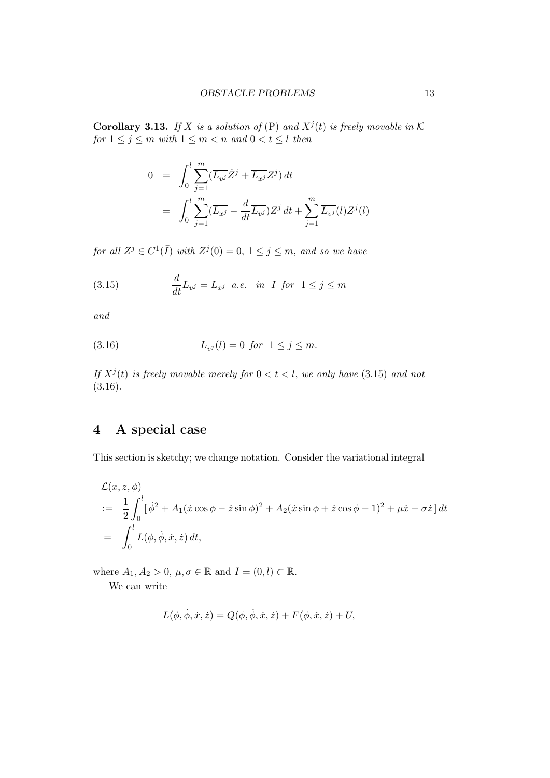**Corollary 3.13.** If X is a solution of  $(P)$  and  $X^{j}(t)$  is freely movable in K for  $1 \leq j \leq m$  with  $1 \leq m < n$  and  $0 < t \leq l$  then

$$
0 = \int_0^l \sum_{j=1}^m (\overline{L_{v^j}} \dot{Z}^j + \overline{L_{x^j}} Z^j) dt
$$
  
= 
$$
\int_0^l \sum_{j=1}^m (\overline{L_{x^j}} - \frac{d}{dt} \overline{L_{v^j}}) Z^j dt + \sum_{j=1}^m \overline{L_{v^j}} (l) Z^j (l)
$$

for all  $Z^j \in C^1(\overline{I})$  with  $Z^j(0) = 0, 1 \leq j \leq m$ , and so we have

(3.15) 
$$
\frac{d}{dt}\overline{L_{v^j}} = \overline{L_{x^j}} \quad a.e. \quad in \quad I \quad for \quad 1 \leq j \leq m
$$

and

(3.16) 
$$
\overline{L_{v^j}}(l) = 0 \ \text{for} \ \ 1 \leq j \leq m.
$$

If  $X^{j}(t)$  is freely movable merely for  $0 < t < l$ , we only have  $(3.15)$  and not  $(3.16).$ 

## 4 A special case

This section is sketchy; we change notation. Consider the variational integral

$$
\mathcal{L}(x, z, \phi)
$$
  
\n
$$
:= \frac{1}{2} \int_0^l [\dot{\phi}^2 + A_1(\dot{x}\cos\phi - \dot{z}\sin\phi)^2 + A_2(\dot{x}\sin\phi + \dot{z}\cos\phi - 1)^2 + \mu\dot{x} + \sigma\dot{z}] dt
$$
  
\n
$$
= \int_0^l L(\phi, \dot{\phi}, \dot{x}, \dot{z}) dt,
$$

where  $A_1, A_2 > 0$ ,  $\mu, \sigma \in \mathbb{R}$  and  $I = (0, l) \subset \mathbb{R}$ . We can write

$$
L(\phi, \dot{\phi}, \dot{x}, \dot{z}) = Q(\phi, \dot{\phi}, \dot{x}, \dot{z}) + F(\phi, \dot{x}, \dot{z}) + U,
$$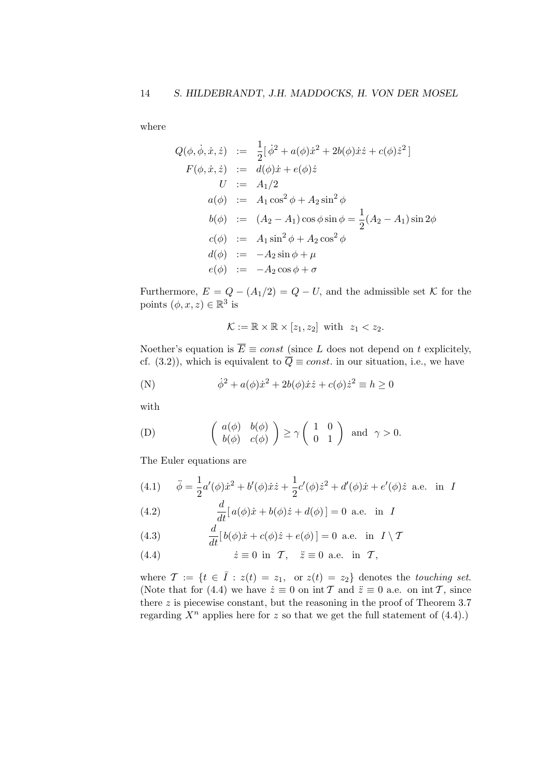where

$$
Q(\phi, \dot{\phi}, \dot{x}, \dot{z}) := \frac{1}{2} [\dot{\phi}^2 + a(\phi)\dot{x}^2 + 2b(\phi)\dot{x}\dot{z} + c(\phi)\dot{z}^2]
$$
  
\n
$$
F(\phi, \dot{x}, \dot{z}) := d(\phi)\dot{x} + e(\phi)\dot{z}
$$
  
\n
$$
U := A_1/2
$$
  
\n
$$
a(\phi) := A_1 \cos^2 \phi + A_2 \sin^2 \phi
$$
  
\n
$$
b(\phi) := (A_2 - A_1) \cos \phi \sin \phi = \frac{1}{2}(A_2 - A_1) \sin 2\phi
$$
  
\n
$$
c(\phi) := A_1 \sin^2 \phi + A_2 \cos^2 \phi
$$
  
\n
$$
d(\phi) := -A_2 \sin \phi + \mu
$$
  
\n
$$
e(\phi) := -A_2 \cos \phi + \sigma
$$

Furthermore,  $E = Q - (A_1/2) = Q - U$ , and the admissible set K for the points  $(\phi, x, z) \in \mathbb{R}^3$  is

$$
\mathcal{K} := \mathbb{R} \times \mathbb{R} \times [z_1, z_2] \text{ with } z_1 < z_2.
$$

Noether's equation is  $\overline{E} \equiv const$  (since L does not depend on t explicitely, cf. (3.2)), which is equivalent to  $\overline{Q} \equiv const.$  in our situation, i.e., we have

(N) 
$$
\dot{\phi}^2 + a(\phi)\dot{x}^2 + 2b(\phi)\dot{x}\dot{z} + c(\phi)\dot{z}^2 \equiv h \ge 0
$$

with

(D) 
$$
\begin{pmatrix} a(\phi) & b(\phi) \\ b(\phi) & c(\phi) \end{pmatrix} \ge \gamma \begin{pmatrix} 1 & 0 \\ 0 & 1 \end{pmatrix}
$$
 and  $\gamma > 0$ .

The Euler equations are

(4.1) 
$$
\ddot{\phi} = \frac{1}{2}a'(\phi)\dot{x}^2 + b'(\phi)\dot{x}\dot{z} + \frac{1}{2}c'(\phi)\dot{z}^2 + d'(\phi)\dot{x} + e'(\phi)\dot{z}
$$
 a.e. in I

(4.2) 
$$
\frac{d}{dt} [a(\phi)\dot{x} + b(\phi)\dot{z} + d(\phi)] = 0 \text{ a.e. in } I
$$

(4.3) 
$$
\frac{d}{dt}[b(\phi)\dot{x} + c(\phi)\dot{z} + e(\phi)] = 0 \text{ a.e. in } I \setminus \mathcal{T}
$$

(4.4) 
$$
\dot{z} \equiv 0 \text{ in } \mathcal{T}, \quad \dot{z} \equiv 0 \text{ a.e. in } \mathcal{T},
$$

where  $\mathcal{T} := \{t \in \overline{I} : z(t) = z_1, \text{ or } z(t) = z_2\}$  denotes the touching set. (Note that for (4.4) we have  $\dot{z} \equiv 0$  on int T and  $\ddot{z} \equiv 0$  a.e. on int T, since there  $z$  is piecewise constant, but the reasoning in the proof of Theorem 3.7 regarding  $X^n$  applies here for z so that we get the full statement of (4.4).)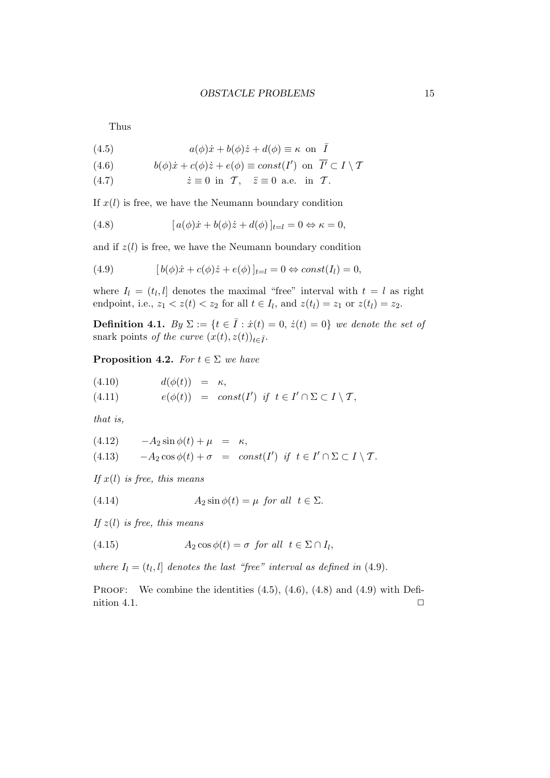Thus

(4.5) 
$$
a(\phi)\dot{x} + b(\phi)\dot{z} + d(\phi) \equiv \kappa \text{ on } \bar{I}
$$

(4.6) 
$$
b(\phi)\dot{x} + c(\phi)\dot{z} + e(\phi) \equiv const(I') \text{ on } \overline{I'} \subset I \setminus \mathcal{T}
$$

(4.7)  $\dot{z} \equiv 0$  in T,  $\ddot{z} \equiv 0$  a.e. in T.

If  $x(l)$  is free, we have the Neumann boundary condition

(4.8) 
$$
[a(\phi)\dot{x} + b(\phi)\dot{z} + d(\phi)]_{t=l} = 0 \Leftrightarrow \kappa = 0,
$$

and if  $z(l)$  is free, we have the Neumann boundary condition

(4.9) 
$$
[b(\phi)\dot{x} + c(\phi)\dot{z} + e(\phi)]_{t=l} = 0 \Leftrightarrow const(I_l) = 0,
$$

where  $I_l = (t_l, l]$  denotes the maximal "free" interval with  $t = l$  as right endpoint, i.e.,  $z_1 < z(t) < z_2$  for all  $t \in I_l$ , and  $z(t_l) = z_1$  or  $z(t_l) = z_2$ .

Definition 4.1. By  $\Sigma := \{t \in \overline{I} : \dot{x}(t) = 0, \dot{z}(t) = 0\}$  we denote the set of snark points of the curve  $(x(t), z(t))_{t\in\bar{I}}$ .

**Proposition 4.2.** For  $t \in \Sigma$  we have

$$
(4.10) \t d(\phi(t)) = \kappa,
$$
\n
$$
(4.11) \t (\phi(t)) = \kappa,
$$
\n
$$
(4.12) \t \text{ if } t \in I' \cap \Sigma
$$

(4.11)  $e(\phi(t)) = const(I')$  if  $t \in I' \cap \Sigma \subset I \setminus \mathcal{T}$ ,

that is,

(4.12) 
$$
-A_2 \sin \phi(t) + \mu = \kappa,
$$
  
(4.13) 
$$
-A_2 \cos \phi(t) + \sigma = const(I') \text{ if } t \in I' \cap \Sigma \subset I \setminus \mathcal{T}.
$$

If  $x(l)$  is free, this means

(4.14) 
$$
A_2 \sin \phi(t) = \mu \text{ for all } t \in \Sigma.
$$

If  $z(l)$  is free, this means

(4.15) 
$$
A_2 \cos \phi(t) = \sigma \text{ for all } t \in \Sigma \cap I_l,
$$

where  $I_l = (t_l, l]$  denotes the last "free" interval as defined in (4.9).

PROOF: We combine the identities  $(4.5)$ ,  $(4.6)$ ,  $(4.8)$  and  $(4.9)$  with Definition 4.1.  $\Box$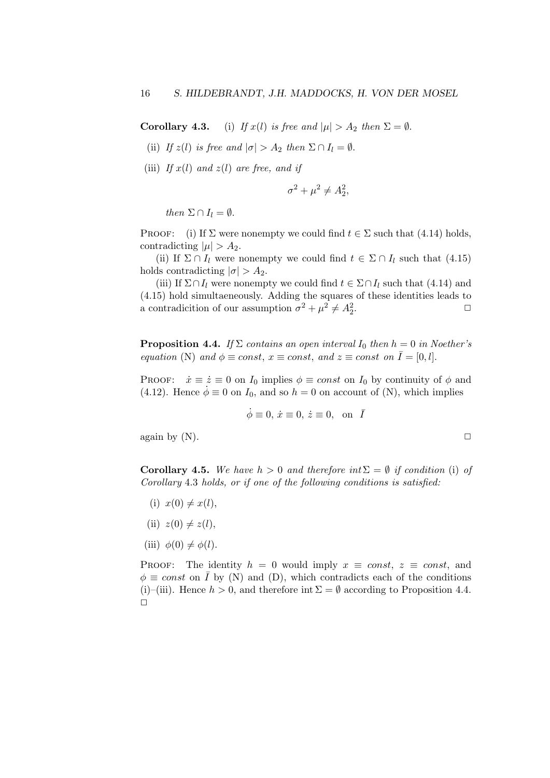**Corollary 4.3.** (i) If  $x(l)$  is free and  $|\mu| > A_2$  then  $\Sigma = \emptyset$ .

- (ii) If  $z(l)$  is free and  $|\sigma| > A_2$  then  $\Sigma \cap I_l = \emptyset$ .
- (iii) If  $x(l)$  and  $z(l)$  are free, and if

$$
\sigma^2 + \mu^2 \neq A_2^2,
$$

then  $\Sigma \cap I_l = \emptyset$ .

PROOF: (i) If  $\Sigma$  were nonempty we could find  $t \in \Sigma$  such that (4.14) holds, contradicting  $|\mu| > A_2$ .

(ii) If  $\Sigma \cap I_l$  were nonempty we could find  $t \in \Sigma \cap I_l$  such that (4.15) holds contradicting  $|\sigma| > A_2$ .

(iii) If  $\Sigma \cap I_l$  were nonempty we could find  $t \in \Sigma \cap I_l$  such that (4.14) and (4.15) hold simultaeneously. Adding the squares of these identities leads to a contradicition of our assumption  $\sigma^2 + \mu^2 \neq A_2^2$ . ✷

**Proposition 4.4.** If  $\Sigma$  contains an open interval I<sub>0</sub> then  $h = 0$  in Noether's equation (N) and  $\phi \equiv const, x \equiv const,$  and  $z \equiv const$  on  $\overline{I} = [0, l].$ 

PROOF:  $\dot{x} \equiv \dot{z} \equiv 0$  on  $I_0$  implies  $\phi \equiv const$  on  $I_0$  by continuity of  $\phi$  and (4.12). Hence  $\dot{\phi} \equiv 0$  on  $I_0$ , and so  $h = 0$  on account of (N), which implies

$$
\dot{\phi} \equiv 0, \, \dot{x} \equiv 0, \, \dot{z} \equiv 0, \, \text{ on } \, \bar{I}
$$

again by  $(N)$ .

Corollary 4.5. We have  $h > 0$  and therefore int $\Sigma = \emptyset$  if condition (i) of Corollary 4.3 holds, or if one of the following conditions is satisfied:

- (i)  $x(0) \neq x(l)$ ,
- (ii)  $z(0) \neq z(l)$ ,
- (iii)  $\phi(0) \neq \phi(l)$ .

PROOF: The identity  $h = 0$  would imply  $x \equiv const.$   $z \equiv const.$  and  $\phi \equiv const$  on  $\overline{I}$  by (N) and (D), which contradicts each of the conditions (i)–(iii). Hence  $h > 0$ , and therefore int  $\Sigma = \emptyset$  according to Proposition 4.4.  $\Box$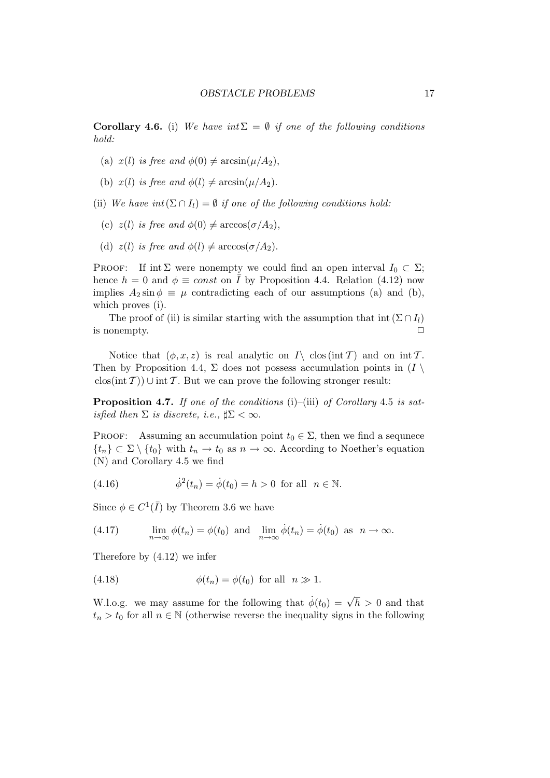**Corollary 4.6.** (i) We have int  $\Sigma = \emptyset$  if one of the following conditions hold:

- (a)  $x(l)$  is free and  $\phi(0) \neq \arcsin(\mu/A_2)$ ,
- (b)  $x(l)$  is free and  $\phi(l) \neq \arcsin(\mu/A_2)$ .
- (ii) We have  $int(\Sigma \cap I) = \emptyset$  if one of the following conditions hold:
	- (c)  $z(l)$  is free and  $\phi(0) \neq \arccos(\sigma/A_2)$ ,
	- (d)  $z(l)$  is free and  $\phi(l) \neq \arccos(\sigma/A_2)$ .

PROOF: If int  $\Sigma$  were nonempty we could find an open interval  $I_0 \subset \Sigma$ ; hence  $h = 0$  and  $\phi \equiv const$  on  $\overline{I}$  by Proposition 4.4. Relation (4.12) now implies  $A_2 \sin \phi \equiv \mu$  contradicting each of our assumptions (a) and (b), which proves (i).

The proof of (ii) is similar starting with the assumption that int  $(\Sigma \cap I_l)$ is nonempty.  $\Box$ 

Notice that  $(\phi, x, z)$  is real analytic on  $I \setminus \text{clos (int } T)$  and on int T. Then by Proposition 4.4,  $\Sigma$  does not possess accumulation points in  $(I \setminus$  $\text{clos}(\text{int } \mathcal{T})$ ) ∪ int T. But we can prove the following stronger result:

**Proposition 4.7.** If one of the conditions (i)–(iii) of Corollary 4.5 is satisfied then  $\Sigma$  is discrete, i.e.,  $\sharp \Sigma < \infty$ .

PROOF: Assuming an accumulation point  $t_0 \in \Sigma$ , then we find a sequnece  $\{t_n\} \subset \Sigma \setminus \{t_0\}$  with  $t_n \to t_0$  as  $n \to \infty$ . According to Noether's equation (N) and Corollary 4.5 we find

(4.16) 
$$
\dot{\phi}^2(t_n) = \dot{\phi}(t_0) = h > 0
$$
 for all  $n \in \mathbb{N}$ .

Since  $\phi \in C^1(\overline{I})$  by Theorem 3.6 we have

(4.17) 
$$
\lim_{n \to \infty} \phi(t_n) = \phi(t_0) \text{ and } \lim_{n \to \infty} \dot{\phi}(t_n) = \dot{\phi}(t_0) \text{ as } n \to \infty.
$$

Therefore by (4.12) we infer

(4.18) 
$$
\phi(t_n) = \phi(t_0) \text{ for all } n \gg 1.
$$

W.l.o.g. we may assume for the following that  $\dot{\phi}(t_0) = \sqrt{h} > 0$  and that  $t_n > t_0$  for all  $n \in \mathbb{N}$  (otherwise reverse the inequality signs in the following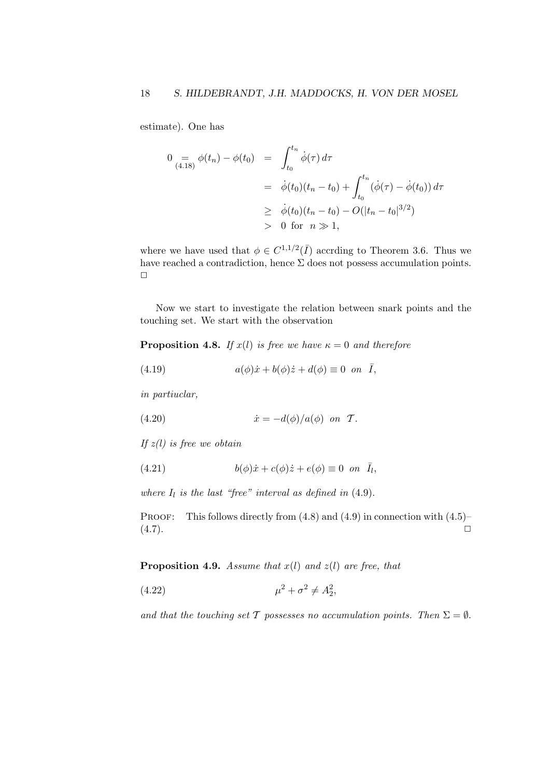estimate). One has

$$
0 = \phi(t_n) - \phi(t_0) = \int_{t_0}^{t_n} \dot{\phi}(\tau) d\tau
$$
  
=  $\dot{\phi}(t_0) (t_n - t_0) + \int_{t_0}^{t_n} (\dot{\phi}(\tau) - \dot{\phi}(t_0)) d\tau$   
 $\geq \dot{\phi}(t_0) (t_n - t_0) - O(|t_n - t_0|^{3/2})$   
> 0 for  $n \gg 1$ ,

where we have used that  $\phi \in C^{1,1/2}(\overline{I})$  accrding to Theorem 3.6. Thus we have reached a contradiction, hence  $\Sigma$  does not possess accumulation points.  $\Box$ 

Now we start to investigate the relation between snark points and the touching set. We start with the observation

**Proposition 4.8.** If  $x(l)$  is free we have  $\kappa = 0$  and therefore

(4.19) 
$$
a(\phi)\dot{x} + b(\phi)\dot{z} + d(\phi) \equiv 0 \text{ on } \bar{I},
$$

in partiuclar,

(4.20) 
$$
\dot{x} = -d(\phi)/a(\phi) \text{ on } \mathcal{T}.
$$

If  $z(l)$  is free we obtain

(4.21) 
$$
b(\phi)\dot{x} + c(\phi)\dot{z} + e(\phi) \equiv 0 \text{ on } \bar{I}_l,
$$

where  $I_l$  is the last "free" interval as defined in  $(4.9)$ .

PROOF: This follows directly from  $(4.8)$  and  $(4.9)$  in connection with  $(4.5)$ –  $(4.7)$ .

**Proposition 4.9.** Assume that  $x(l)$  and  $z(l)$  are free, that

(4.22) 
$$
\mu^2 + \sigma^2 \neq A_2^2,
$$

and that the touching set T possesses no accumulation points. Then  $\Sigma = \emptyset$ .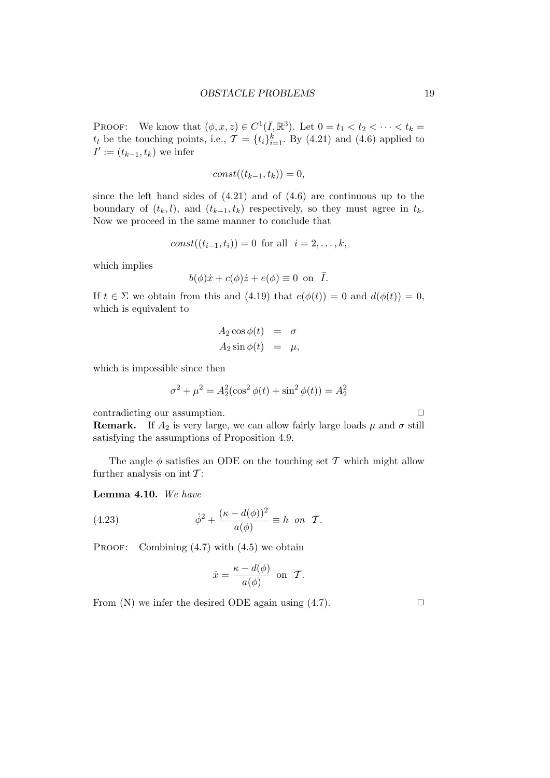PROOF: We know that  $(\phi, x, z) \in C^1(\overline{I}, \mathbb{R}^3)$ . Let  $0 = t_1 < t_2 < \cdots < t_k =$  $t_l$  be the touching points, i.e.,  $\mathcal{T} = \{t_i\}_{i=1}^k$ . By (4.21) and (4.6) applied to  $I' := (t_{k-1}, t_k)$  we infer

$$
const((t_{k-1}, t_k)) = 0,
$$

since the left hand sides of  $(4.21)$  and of  $(4.6)$  are continuous up to the boundary of  $(t_k, l)$ , and  $(t_{k-1}, t_k)$  respectively, so they must agree in  $t_k$ . Now we proceed in the same manner to conclude that

$$
const((t_{i-1}, t_i)) = 0
$$
 for all  $i = 2, ..., k$ ,

which implies

$$
b(\phi)\dot{x} + c(\phi)\dot{z} + e(\phi) \equiv 0 \text{ on } \bar{I}.
$$

If  $t \in \Sigma$  we obtain from this and (4.19) that  $e(\phi(t)) = 0$  and  $d(\phi(t)) = 0$ , which is equivalent to

$$
A_2 \cos \phi(t) = \sigma
$$
  

$$
A_2 \sin \phi(t) = \mu,
$$

which is impossible since then

$$
\sigma^2 + \mu^2 = A_2^2(\cos^2 \phi(t) + \sin^2 \phi(t)) = A_2^2
$$

contradicting our assumption.  $\Box$ 

**Remark.** If  $A_2$  is very large, we can allow fairly large loads  $\mu$  and  $\sigma$  still satisfying the assumptions of Proposition 4.9.

The angle  $\phi$  satisfies an ODE on the touching set T which might allow further analysis on  $\operatorname{int} {\mathcal T}$  :

Lemma 4.10. We have

(4.23) 
$$
\dot{\phi}^2 + \frac{(\kappa - d(\phi))^2}{a(\phi)} \equiv h \text{ on } \mathcal{T}.
$$

PROOF: Combining  $(4.7)$  with  $(4.5)$  we obtain

$$
\dot{x} = \frac{\kappa - d(\phi)}{a(\phi)} \text{ on } \mathcal{T}.
$$

From  $(N)$  we infer the desired ODE again using  $(4.7)$ .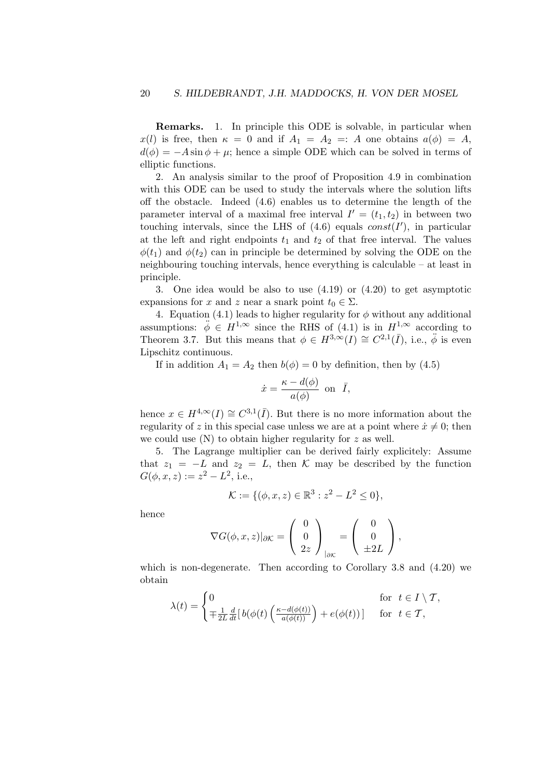Remarks. 1. In principle this ODE is solvable, in particular when  $x(l)$  is free, then  $\kappa = 0$  and if  $A_1 = A_2 =: A$  one obtains  $a(\phi) = A$ ,  $d(\phi) = -A \sin \phi + \mu$ ; hence a simple ODE which can be solved in terms of elliptic functions.

2. An analysis similar to the proof of Proposition 4.9 in combination with this ODE can be used to study the intervals where the solution lifts off the obstacle. Indeed (4.6) enables us to determine the length of the parameter interval of a maximal free interval  $I' = (t_1, t_2)$  in between two touching intervals, since the LHS of  $(4.6)$  equals  $const(I')$ , in particular at the left and right endpoints  $t_1$  and  $t_2$  of that free interval. The values  $\phi(t_1)$  and  $\phi(t_2)$  can in principle be determined by solving the ODE on the neighbouring touching intervals, hence everything is calculable – at least in principle.

3. One idea would be also to use (4.19) or (4.20) to get asymptotic expansions for x and z near a snark point  $t_0 \in \Sigma$ .

4. Equation (4.1) leads to higher regularity for  $\phi$  without any additional assumptions:  $\phi \in H^{1,\infty}$  since the RHS of (4.1) is in  $H^{1,\infty}$  according to Theorem 3.7. But this means that  $\phi \in H^{3,\infty}(I) \cong C^{2,1}(\overline{I}),$  i.e.,  $\ddot{\phi}$  is even Lipschitz continuous.

If in addition  $A_1 = A_2$  then  $b(\phi) = 0$  by definition, then by (4.5)

$$
\dot{x} = \frac{\kappa - d(\phi)}{a(\phi)} \text{ on } \bar{I},
$$

hence  $x \in H^{4,\infty}(I) \cong C^{3,1}(\overline{I}).$  But there is no more information about the regularity of z in this special case unless we are at a point where  $\dot{x} \neq 0$ ; then we could use  $(N)$  to obtain higher regularity for z as well.

5. The Lagrange multiplier can be derived fairly explicitely: Assume that  $z_1 = -L$  and  $z_2 = L$ , then K may be described by the function  $G(\phi, x, z) := z^2 - L^2$ , i.e.,

$$
\mathcal{K} := \{ (\phi, x, z) \in \mathbb{R}^3 : z^2 - L^2 \le 0 \},\
$$

hence

$$
\nabla G(\phi, x, z)|_{\partial \mathcal{K}} = \begin{pmatrix} 0 \\ 0 \\ 2z \end{pmatrix}_{|\partial \mathcal{K}} = \begin{pmatrix} 0 \\ 0 \\ \pm 2L \end{pmatrix},
$$

which is non-degenerate. Then according to Corollary 3.8 and (4.20) we obtain

$$
\lambda(t) = \begin{cases} 0 & \text{for } t \in I \setminus \mathcal{T}, \\ \mp \frac{1}{2L} \frac{d}{dt} [b(\phi(t) \left( \frac{\kappa - d(\phi(t))}{a(\phi(t))} \right) + e(\phi(t))] & \text{for } t \in \mathcal{T}, \end{cases}
$$